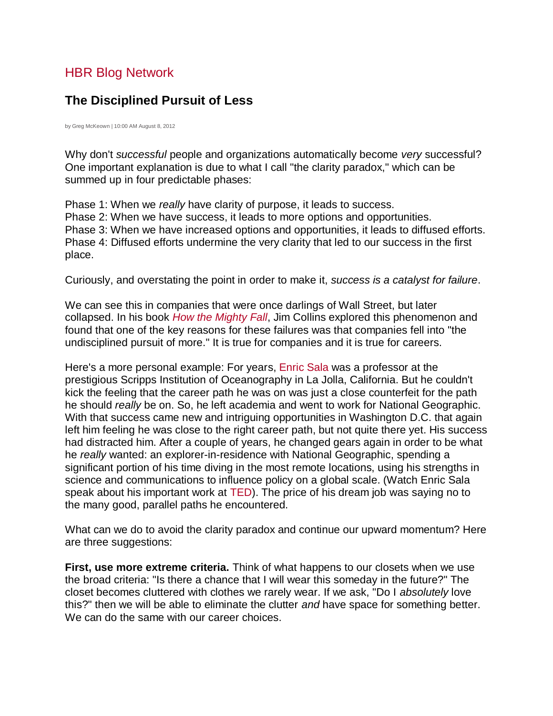## **The Disciplined Pursuit of Less**

by Greg McKeown | 10:00 AM August 8, 2012

Why don't *successful* people and organizations automatically become *very* successful? One important explanation is due to what I call "the clarity paradox," which can be summed up in four predictable phases:

Phase 1: When we *really* have clarity of purpose, it leads to success. Phase 2: When we have success, it leads to more options and opportunities. Phase 3: When we have increased options and opportunities, it leads to diffused efforts. Phase 4: Diffused efforts undermine the very clarity that led to our success in the first place.

Curiously, and overstating the point in order to make it, *success is a catalyst for failure*.

We can see this in companies that were once darlings of Wall Street, but later collapsed. In his book *[How the Mighty Fall](http://www.amazon.com/How-The-Mighty-Fall-Companies/dp/0977326411)*, Jim Collins explored this phenomenon and found that one of the key reasons for these failures was that companies fell into "the undisciplined pursuit of more." It is true for companies and it is true for careers.

Here's a more personal example: For years, [Enric Sala](http://www.nationalgeographic.com/explorers/bios/enric-sala/) was a professor at the prestigious Scripps Institution of Oceanography in La Jolla, California. But he couldn't kick the feeling that the career path he was on was just a close counterfeit for the path he should *really* be on. So, he left academia and went to work for National Geographic. With that success came new and intriguing opportunities in Washington D.C. that again left him feeling he was close to the right career path, but not quite there yet. His success had distracted him. After a couple of years, he changed gears again in order to be what he *really* wanted: an explorer-in-residence with National Geographic, spending a significant portion of his time diving in the most remote locations, using his strengths in science and communications to influence policy on a global scale. (Watch Enric Sala speak about his important work at [TED\)](http://www.ted.com/talks/enric_sala.html). The price of his dream job was saying no to the many good, parallel paths he encountered.

What can we do to avoid the clarity paradox and continue our upward momentum? Here are three suggestions:

**First, use more extreme criteria.** Think of what happens to our closets when we use the broad criteria: "Is there a chance that I will wear this someday in the future?" The closet becomes cluttered with clothes we rarely wear. If we ask, "Do I *absolutely* love this?" then we will be able to eliminate the clutter *and* have space for something better. We can do the same with our career choices.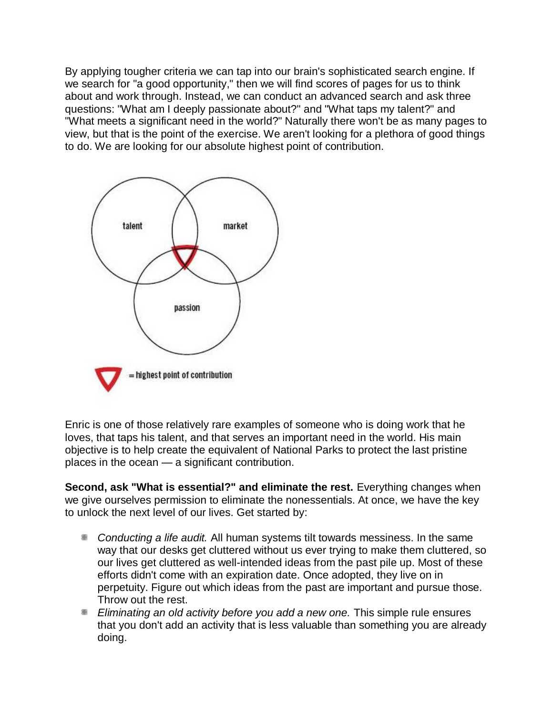By applying tougher criteria we can tap into our brain's sophisticated search engine. If we search for "a good opportunity," then we will find scores of pages for us to think about and work through. Instead, we can conduct an advanced search and ask three questions: "What am I deeply passionate about?" and "What taps my talent?" and "What meets a significant need in the world?" Naturally there won't be as many pages to view, but that is the point of the exercise. We aren't looking for a plethora of good things to do. We are looking for our absolute highest point of contribution.



Enric is one of those relatively rare examples of someone who is doing work that he loves, that taps his talent, and that serves an important need in the world. His main objective is to help create the equivalent of National Parks to protect the last pristine places in the ocean — a significant contribution.

**Second, ask "What is essential?" and eliminate the rest.** Everything changes when we give ourselves permission to eliminate the nonessentials. At once, we have the key to unlock the next level of our lives. Get started by:

- Conducting a life audit. All human systems tilt towards messiness. In the same way that our desks get cluttered without us ever trying to make them cluttered, so our lives get cluttered as well-intended ideas from the past pile up. Most of these efforts didn't come with an expiration date. Once adopted, they live on in perpetuity. Figure out which ideas from the past are important and pursue those. Throw out the rest.
- *Eliminating an old activity before you add a new one.* This simple rule ensures that you don't add an activity that is less valuable than something you are already doing.